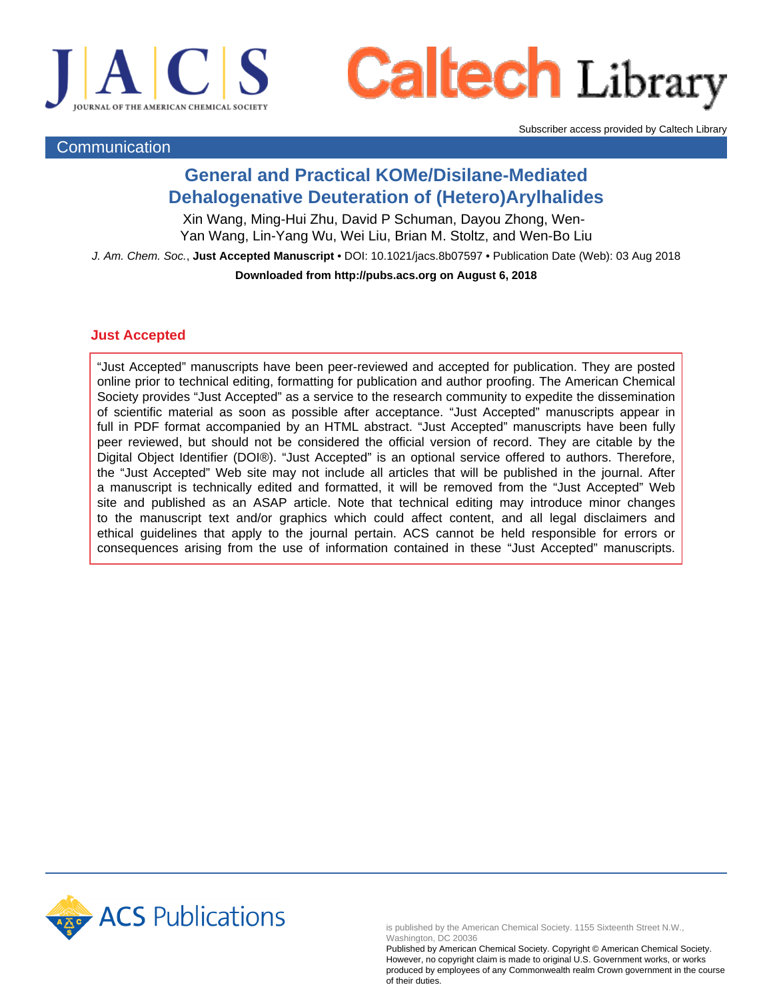



Subscriber access provided by Caltech Library

### **Communication**

## **General and Practical KOMe/Disilane-Mediated Dehalogenative Deuteration of (Hetero)Arylhalides**

Xin Wang, Ming-Hui Zhu, David P Schuman, Dayou Zhong, Wen-Yan Wang, Lin-Yang Wu, Wei Liu, Brian M. Stoltz, and Wen-Bo Liu

J. Am. Chem. Soc., **Just Accepted Manuscript** • DOI: 10.1021/jacs.8b07597 • Publication Date (Web): 03 Aug 2018

**Downloaded from http://pubs.acs.org on August 6, 2018**

## **Just Accepted**

"Just Accepted" manuscripts have been peer-reviewed and accepted for publication. They are posted online prior to technical editing, formatting for publication and author proofing. The American Chemical Society provides "Just Accepted" as a service to the research community to expedite the dissemination of scientific material as soon as possible after acceptance. "Just Accepted" manuscripts appear in full in PDF format accompanied by an HTML abstract. "Just Accepted" manuscripts have been fully peer reviewed, but should not be considered the official version of record. They are citable by the Digital Object Identifier (DOI®). "Just Accepted" is an optional service offered to authors. Therefore, the "Just Accepted" Web site may not include all articles that will be published in the journal. After a manuscript is technically edited and formatted, it will be removed from the "Just Accepted" Web site and published as an ASAP article. Note that technical editing may introduce minor changes to the manuscript text and/or graphics which could affect content, and all legal disclaimers and ethical guidelines that apply to the journal pertain. ACS cannot be held responsible for errors or consequences arising from the use of information contained in these "Just Accepted" manuscripts.



is published by the American Chemical Society. 1155 Sixteenth Street N.W., Washington, DC 20036

Published by American Chemical Society. Copyright © American Chemical Society. However, no copyright claim is made to original U.S. Government works, or works produced by employees of any Commonwealth realm Crown government in the course of their duties.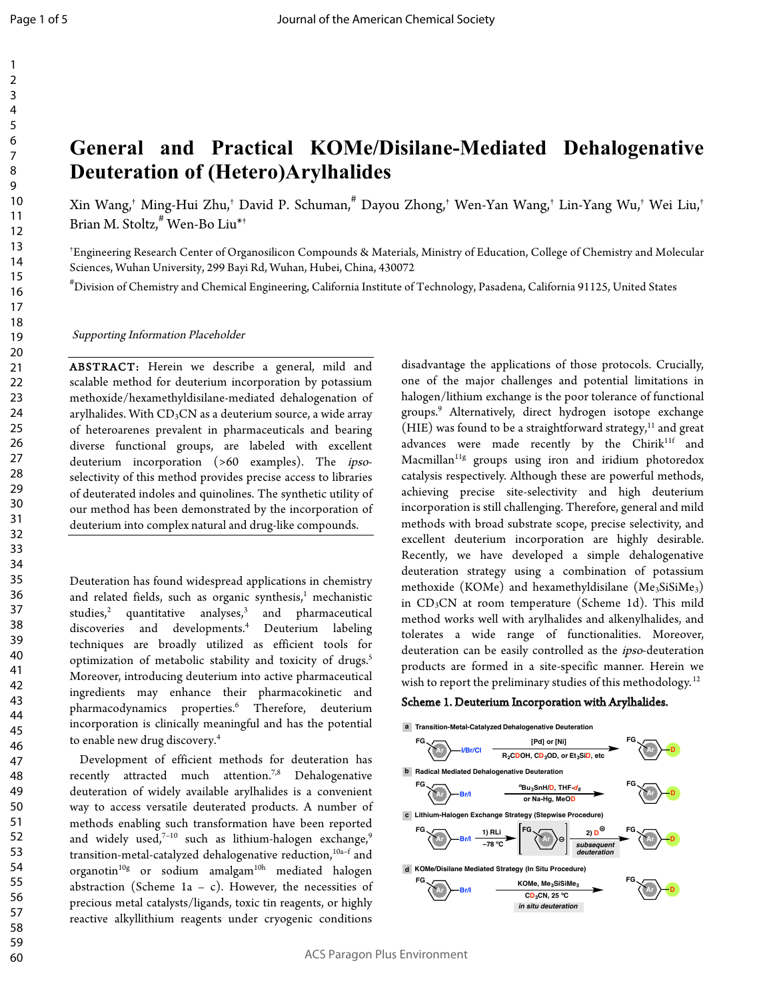# **General and Practical KOMe/Disilane-Mediated Dehalogenative Deuteration of (Hetero)Arylhalides**

Xin Wang,† Ming-Hui Zhu,† David P. Schuman,# Dayou Zhong,† Wen-Yan Wang,† Lin-Yang Wu,† Wei Liu,† Brian M. Stoltz,# Wen-Bo Liu\*†

† Engineering Research Center of Organosilicon Compounds & Materials, Ministry of Education, College of Chemistry and Molecular Sciences, Wuhan University, 299 Bayi Rd, Wuhan, Hubei, China, 430072

# Division of Chemistry and Chemical Engineering, California Institute of Technology, Pasadena, California 91125, United States

Supporting Information Placeholder

ABSTRACT: Herein we describe a general, mild and scalable method for deuterium incorporation by potassium methoxide/hexamethyldisilane-mediated dehalogenation of arylhalides. With  $CD_3CN$  as a deuterium source, a wide array of heteroarenes prevalent in pharmaceuticals and bearing diverse functional groups, are labeled with excellent deuterium incorporation (>60 examples). The ipsoselectivity of this method provides precise access to libraries of deuterated indoles and quinolines. The synthetic utility of our method has been demonstrated by the incorporation of deuterium into complex natural and drug-like compounds.

Deuteration has found widespread applications in chemistry and related fields, such as organic synthesis, $1$  mechanistic studies, $2$  quantitative analyses, $3$ and pharmaceutical discoveries and developments.4 Deuterium labeling techniques are broadly utilized as efficient tools for optimization of metabolic stability and toxicity of drugs.<sup>5</sup> Moreover, introducing deuterium into active pharmaceutical ingredients may enhance their pharmacokinetic and pharmacodynamics properties.6 Therefore, deuterium incorporation is clinically meaningful and has the potential to enable new drug discovery. 4

 Development of efficient methods for deuteration has recently attracted much attention.<sup>7,8</sup> Dehalogenative deuteration of widely available arylhalides is a convenient way to access versatile deuterated products. A number of methods enabling such transformation have been reported and widely used, $^{7\text{--}10}$  such as lithium-halogen exchange, $^9$ transition-metal-catalyzed dehalogenative reduction,<sup>10a-f</sup> and organotin10g or sodium amalgam10h mediated halogen abstraction (Scheme 1a - c). However, the necessities of precious metal catalysts/ligands, toxic tin reagents, or highly reactive alkyllithium reagents under cryogenic conditions

disadvantage the applications of those protocols. Crucially, one of the major challenges and potential limitations in halogen/lithium exchange is the poor tolerance of functional groups.9 Alternatively, direct hydrogen isotope exchange  $(HIE)$  was found to be a straightforward strategy, $11$  and great advances were made recently by the Chirik<sup>11f</sup> and Macmillan<sup>11g</sup> groups using iron and iridium photoredox catalysis respectively. Although these are powerful methods, achieving precise site-selectivity and high deuterium incorporation is still challenging. Therefore, general and mild methods with broad substrate scope, precise selectivity, and excellent deuterium incorporation are highly desirable. Recently, we have developed a simple dehalogenative deuteration strategy using a combination of potassium methoxide (KOMe) and hexamethyldisilane (Me3SiSiMe3) in  $CD_3CN$  at room temperature (Scheme 1d). This mild method works well with arylhalides and alkenylhalides, and tolerates a wide range of functionalities. Moreover, deuteration can be easily controlled as the ipso-deuteration products are formed in a site-specific manner. Herein we wish to report the preliminary studies of this methodology.<sup>12</sup>

#### Scheme 1. Deuterium Incorporation with Arylhalides.



ACS Paragon Plus Environment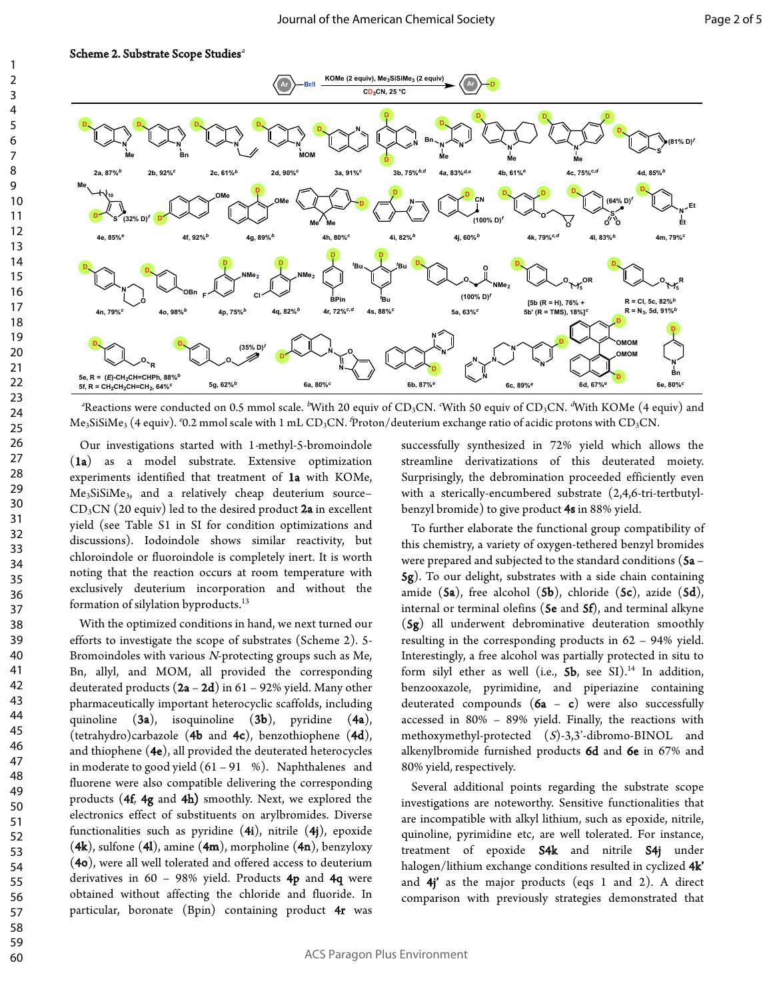

<sup>a</sup>Reactions were conducted on 0.5 mmol scale. <sup>b</sup>With 20 equiv of CD<sub>3</sub>CN. With 50 equiv of CD<sub>3</sub>CN. <sup>4</sup>With KOMe (4 equiv) and Me $_3$ SiSiMe $_3$  (4 equiv). '0.2 mmol scale with 1 mL CD $_3$ CN. 'Proton/deuterium exchange ratio of acidic protons with CD $_3$ CN.

 Our investigations started with 1-methyl-5-bromoindole (1a) as a model substrate. Extensive optimization experiments identified that treatment of 1a with KOMe, Me3SiSiMe3, and a relatively cheap deuterium source–  $CD<sub>3</sub>CN$  (20 equiv) led to the desired product 2a in excellent yield (see Table S1 in SI for condition optimizations and discussions). Iodoindole shows similar reactivity, but chloroindole or fluoroindole is completely inert. It is worth noting that the reaction occurs at room temperature with exclusively deuterium incorporation and without the formation of silylation byproducts. 13

 With the optimized conditions in hand, we next turned our efforts to investigate the scope of substrates (Scheme 2). 5- Bromoindoles with various N-protecting groups such as Me, Bn, allyl, and MOM, all provided the corresponding deuterated products  $(2a - 2d)$  in 61 – 92% yield. Many other pharmaceutically important heterocyclic scaffolds, including quinoline (3a), isoquinoline (3b), pyridine (4a), (tetrahydro)carbazole (4b and 4c), benzothiophene (4d), and thiophene (4e), all provided the deuterated heterocycles in moderate to good yield  $(61 - 91 \%)$ . Naphthalenes and fluorene were also compatible delivering the corresponding products (4f, 4g and 4h) smoothly. Next, we explored the electronics effect of substituents on arylbromides. Diverse functionalities such as pyridine  $(4i)$ , nitrile  $(4j)$ , epoxide  $(4k)$ , sulfone  $(4l)$ , amine  $(4m)$ , morpholine  $(4n)$ , benzyloxy (4o), were all well tolerated and offered access to deuterium derivatives in 60 – 98% yield. Products 4p and 4q were obtained without affecting the chloride and fluoride. In particular, boronate (Bpin) containing product 4r was successfully synthesized in 72% yield which allows the streamline derivatizations of this deuterated moiety. Surprisingly, the debromination proceeded efficiently even with a sterically-encumbered substrate (2,4,6-tri-tertbutylbenzyl bromide) to give product 4s in 88% yield.

 To further elaborate the functional group compatibility of this chemistry, a variety of oxygen-tethered benzyl bromides were prepared and subjected to the standard conditions  $(5a -$ 5g). To our delight, substrates with a side chain containing amide  $(5a)$ , free alcohol  $(5b)$ , chloride  $(5c)$ , azide  $(5d)$ , internal or terminal olefins ( $\mathbf{5e}$  and  $\mathbf{5f}$ ), and terminal alkyne (5g) all underwent debrominative deuteration smoothly resulting in the corresponding products in 62 – 94% yield. Interestingly, a free alcohol was partially protected in situ to form silyl ether as well (i.e.,  $5b$ , see SI).<sup>14</sup> In addition, benzooxazole, pyrimidine, and piperiazine containing deuterated compounds  $(6a - c)$  were also successfully accessed in 80% – 89% yield. Finally, the reactions with methoxymethyl-protected  $(S)$ -3,3'-dibromo-BINOL and alkenylbromide furnished products 6d and 6e in 67% and 80% yield, respectively.

 Several additional points regarding the substrate scope investigations are noteworthy. Sensitive functionalities that are incompatible with alkyl lithium, such as epoxide, nitrile, quinoline, pyrimidine etc, are well tolerated. For instance, treatment of epoxide S4k and nitrile S4j under halogen/lithium exchange conditions resulted in cyclized 4k' and  $4i'$  as the major products (eqs 1 and 2). A direct comparison with previously strategies demonstrated that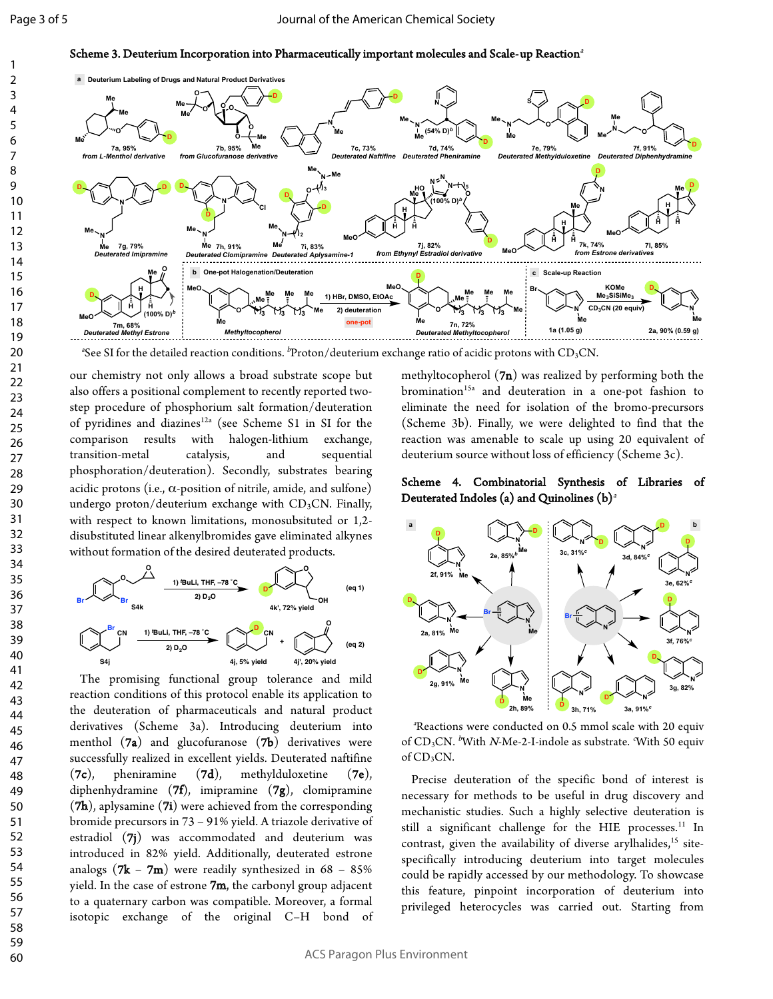Scheme 3. Deuterium Incorporation into Pharmaceutically important molecules and Scale-up Reaction<sup>a</sup>



"See SI for the detailed reaction conditions.  $^b$ Proton/deuterium exchange ratio of acidic protons with CD3CN.

our chemistry not only allows a broad substrate scope but also offers a positional complement to recently reported twostep procedure of phosphorium salt formation/deuteration of pyridines and diazines<sup>12a</sup> (see Scheme S1 in SI for the comparison results with halogen-lithium exchange, transition-metal catalysis, and sequential phosphoration/deuteration). Secondly, substrates bearing acidic protons (i.e.,  $\alpha$ -position of nitrile, amide, and sulfone) undergo proton/deuterium exchange with  $CD_3CN$ . Finally, with respect to known limitations, monosubsituted or 1,2 disubstituted linear alkenylbromides gave eliminated alkynes without formation of the desired deuterated products.



 The promising functional group tolerance and mild reaction conditions of this protocol enable its application to the deuteration of pharmaceuticals and natural product derivatives (Scheme 3a). Introducing deuterium into menthol (7a) and glucofuranose (7b) derivatives were successfully realized in excellent yields. Deuterated naftifine  $(7c)$ , pheniramine  $(7d)$ , methylduloxetine  $(7e)$ , diphenhydramine (7f), imipramine (7g), clomipramine (7h), aplysamine (7i) were achieved from the corresponding bromide precursors in 73 – 91% yield. A triazole derivative of estradiol (7j) was accommodated and deuterium was introduced in 82% yield. Additionally, deuterated estrone analogs ( $7k - 7m$ ) were readily synthesized in  $68 - 85%$ yield. In the case of estrone  $7m$ , the carbonyl group adjacent to a quaternary carbon was compatible. Moreover, a formal isotopic exchange of the original C–H bond of

methyltocopherol  $(7n)$  was realized by performing both the bromination<sup>15a</sup> and deuteration in a one-pot fashion to eliminate the need for isolation of the bromo-precursors (Scheme 3b). Finally, we were delighted to find that the reaction was amenable to scale up using 20 equivalent of deuterium source without loss of efficiency (Scheme 3c).

#### Scheme 4. Combinatorial Synthesis of Libraries of Deuterated Indoles (a) and Quinolines  $(b)^a$



a Reactions were conducted on 0.5 mmol scale with 20 equiv of CD<sub>3</sub>CN. <sup>b</sup>With *N*-Me-2-I-indole as substrate. With 50 equiv of CD<sub>3</sub>CN.

 Precise deuteration of the specific bond of interest is necessary for methods to be useful in drug discovery and mechanistic studies. Such a highly selective deuteration is still a significant challenge for the HIE processes.<sup>11</sup> In contrast, given the availability of diverse arylhalides,<sup>15</sup> sitespecifically introducing deuterium into target molecules could be rapidly accessed by our methodology. To showcase this feature, pinpoint incorporation of deuterium into privileged heterocycles was carried out. Starting from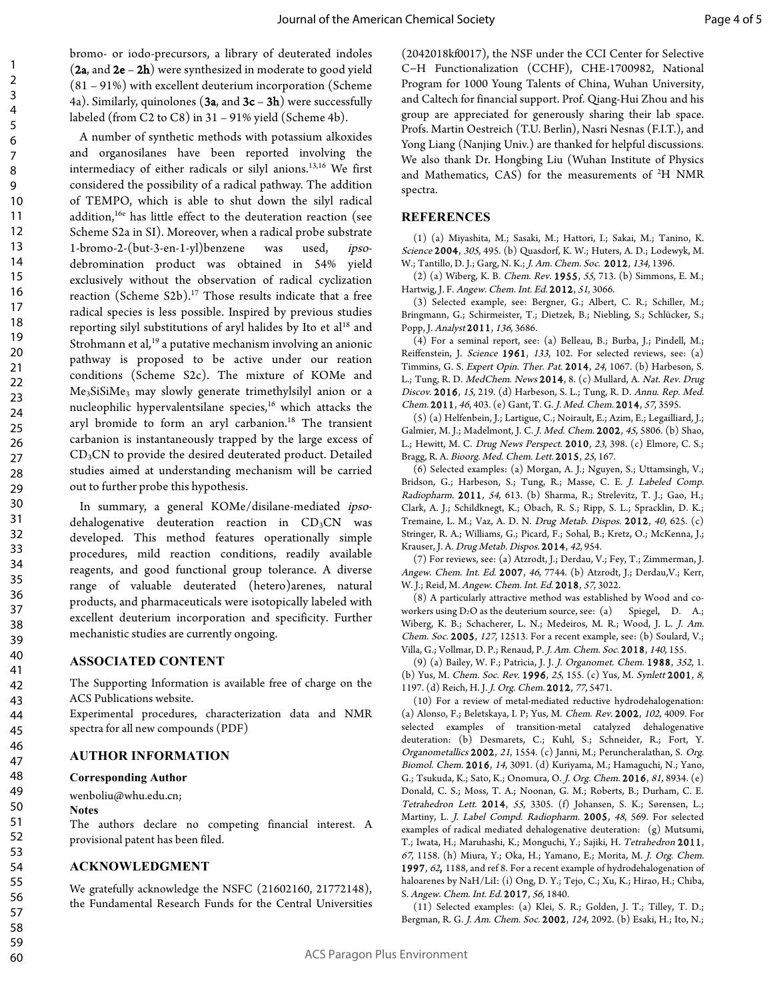bromo- or iodo-precursors, a library of deuterated indoles  $(2a, and 2e - 2h)$  were synthesized in moderate to good yield (81 – 91%) with excellent deuterium incorporation (Scheme 4a). Similarly, quinolones (3a, and  $3c - 3h$ ) were successfully labeled (from C2 to C8) in 31 – 91% yield (Scheme 4b).

 A number of synthetic methods with potassium alkoxides and organosilanes have been reported involving the intermediacy of either radicals or silyl anions.13,16 We first considered the possibility of a radical pathway. The addition of TEMPO, which is able to shut down the silyl radical addition, 16e has little effect to the deuteration reaction (see Scheme S2a in SI). Moreover, when a radical probe substrate 1-bromo-2-(but-3-en-1-yl)benzene was used, ipsodebromination product was obtained in 54% yield exclusively without the observation of radical cyclization reaction (Scheme S2b). <sup>17</sup> Those results indicate that a free radical species is less possible. Inspired by previous studies reporting silyl substitutions of aryl halides by Ito et al<sup>18</sup> and Strohmann et al, <sup>19</sup> a putative mechanism involving an anionic pathway is proposed to be active under our reation conditions (Scheme S2c). The mixture of KOMe and Me3SiSiMe3 may slowly generate trimethylsilyl anion or a nucleophilic hypervalentsilane species, <sup>16</sup> which attacks the aryl bromide to form an aryl carbanion.<sup>18</sup> The transient carbanion is instantaneously trapped by the large excess of CD3CN to provide the desired deuterated product. Detailed studies aimed at understanding mechanism will be carried out to further probe this hypothesis.

 In summary, a general KOMe/disilane-mediated ipsodehalogenative deuteration reaction in  $CD<sub>3</sub>CN$  was developed. This method features operationally simple procedures, mild reaction conditions, readily available reagents, and good functional group tolerance. A diverse range of valuable deuterated (hetero)arenes, natural products, and pharmaceuticals were isotopically labeled with excellent deuterium incorporation and specificity. Further mechanistic studies are currently ongoing.

#### **ASSOCIATED CONTENT**

The Supporting Information is available free of charge on the ACS Publications website.

Experimental procedures, characterization data and NMR spectra for all new compounds (PDF)

#### **AUTHOR INFORMATION**

#### **Corresponding Author**

wenboliu@whu.edu.cn;

#### **Notes**

The authors declare no competing financial interest. A provisional patent has been filed.

## **ACKNOWLEDGMENT**

We gratefully acknowledge the NSFC (21602160, 21772148), the Fundamental Research Funds for the Central Universities (2042018kf0017), the NSF under the CCI Center for Selective C−H Functionalization (CCHF), CHE-1700982, National Program for 1000 Young Talents of China, Wuhan University, and Caltech for financial support. Prof. Qiang-Hui Zhou and his group are appreciated for generously sharing their lab space. Profs. Martin Oestreich (T.U. Berlin), Nasri Nesnas (F.I.T.), and Yong Liang (Nanjing Univ.) are thanked for helpful discussions. We also thank Dr. Hongbing Liu (Wuhan Institute of Physics and Mathematics,  $CAS)$  for the measurements of  $^2H$  NMR spectra.

#### **REFERENCES**

(1) (a) Miyashita, M.; Sasaki, M.; Hattori, I.; Sakai, M.; Tanino, K. Science 2004, 305, 495. (b) Quasdorf, K. W.; Huters, A. D.; Lodewyk, M. W.; Tantillo, D. J.; Garg, N. K.; J. Am. Chem. Soc. 2012, 134, 1396.

(2) (a) Wiberg, K. B. Chem. Rev. 1955, 55, 713. (b) Simmons, E. M.; Hartwig, J. F. Angew. Chem. Int. Ed. 2012, 51, 3066.

(3) Selected example, see: Bergner, G.; Albert, C. R.; Schiller, M.; Bringmann, G.; Schirmeister, T.; Dietzek, B.; Niebling, S.; Schlücker, S.; Popp, J. Analyst 2011, 136, 3686.

(4) For a seminal report, see: (a) Belleau, B.; Burba, J.; Pindell, M.; Reiffenstein, J. Science 1961, 133, 102. For selected reviews, see: (a) Timmins, G. S. Expert Opin. Ther. Pat. 2014, 24, 1067. (b) Harbeson, S. L.; Tung, R. D. MedChem. News 2014, 8. (c) Mullard, A. Nat. Rev. Drug Discov. 2016, 15, 219. (d) Harbeson, S. L.; Tung, R. D. Annu. Rep. Med. Chem. 2011, 46, 403. (e) Gant, T. G. J. Med. Chem. 2014, 57, 3595.

(5) (a) Helfenbein, J.; Lartigue, C.; Noirault, E.; Azim, E.; Legailliard, J.; Galmier, M. J.; Madelmont, J. C. J. Med. Chem. 2002, 45, 5806. (b) Shao, L.; Hewitt, M. C. Drug News Perspect. 2010, 23, 398. (c) Elmore, C. S.; Bragg, R. A. Bioorg. Med. Chem. Lett. 2015, 25, 167.

(6) Selected examples: (a) Morgan, A. J.; Nguyen, S.; Uttamsingh, V.; Bridson, G.; Harbeson, S.; Tung, R.; Masse, C. E. J. Labeled Comp. Radiopharm. 2011, 54, 613. (b) Sharma, R.; Strelevitz, T. J.; Gao, H.; Clark, A. J.; Schildknegt, K.; Obach, R. S.; Ripp, S. L.; Spracklin, D. K.; Tremaine, L. M.; Vaz, A. D. N. Drug Metab. Dispos. 2012, 40, 625. (c) Stringer, R. A.; Williams, G.; Picard, F.; Sohal, B.; Kretz, O.; McKenna, J.; Krauser, J. A. Drug Metab. Dispos. 2014, 42, 954.

(7) For reviews, see: (a) Atzrodt, J.; Derdau, V.; Fey, T.; Zimmerman, J. Angew. Chem. Int. Ed. 2007, 46, 7744. (b) Atzrodt, J.; Derdau, V.; Kerr, W. J.; Reid, M. Angew. Chem. Int. Ed. 2018, 57, 3022.

(8) A particularly attractive method was established by Wood and coworkers using  $D_2O$  as the deuterium source, see: (a) Spiegel, D. A.; Wiberg, K. B.; Schacherer, L. N.; Medeiros, M. R.; Wood, J. L. J. Am. Chem. Soc. 2005, 127, 12513. For a recent example, see: (b) Soulard, V.; Villa, G.; Vollmar, D. P.; Renaud, P. J. Am. Chem. Soc. 2018, 140, 155.

(9) (a) Bailey, W. F.; Patricia, J. J. J. Organomet. Chem. 1988, 352, 1. (b) Yus, M. Chem. Soc. Rev. 1996, 25, 155. (c) Yus, M. Synlett 2001, 8, 1197. (d) Reich, H. J. J. Org. Chem. 2012, 77, 5471.

(10) For a review of metal-mediated reductive hydrodehalogenation: (a) Alonso, F.; Beletskaya, I. P; Yus, M. Chem. Rev. 2002, 102, 4009. For selected examples of transition-metal catalyzed dehalogenative deuteration: (b) Desmarets, C.; Kuhl, S.; Schneider, R.; Fort, Y. Organometallics 2002, 21, 1554. (c) Janni, M.; Peruncheralathan, S. Org. Biomol. Chem. 2016, 14, 3091. (d) Kuriyama, M.; Hamaguchi, N.; Yano, G.; Tsukuda, K.; Sato, K.; Onomura, O. J. Org. Chem. 2016, 81, 8934. (e) Donald, C. S.; Moss, T. A.; Noonan, G. M.; Roberts, B.; Durham, C. E. Tetrahedron Lett. 2014, 55, 3305. (f) Johansen, S. K.; Sørensen, L.; Martiny, L. J. Label Compd. Radiopharm. 2005, 48, 569. For selected examples of radical mediated dehalogenative deuteration: (g) Mutsumi, T.; Iwata, H.; Maruhashi, K.; Monguchi, Y.; Sajiki, H. Tetrahedron 2011, <sup>67</sup>, 1158. (h) Miura, Y.; Oka, H.; Yamano, E.; Morita, M. J. Org. Chem. 1997, 62, 1188, and ref 8. For a recent example of hydrodehalogenation of haloarenes by NaH/LiI: (i) Ong, D. Y.; Tejo, C.; Xu, K.; Hirao, H.; Chiba, S. Angew. Chem. Int. Ed. 2017, 56, 1840.

(11) Selected examples: (a) Klei, S. R.; Golden, J. T.; Tilley, T. D.; Bergman, R. G. J. Am. Chem. Soc. 2002, 124, 2092. (b) Esaki, H.; Ito, N.;